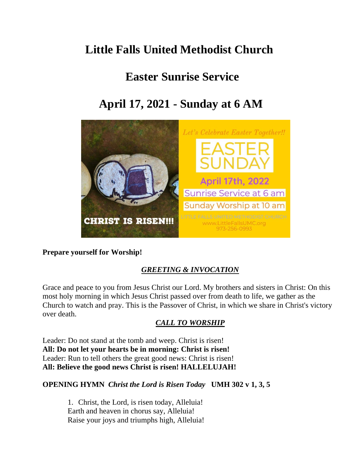# **Little Falls United Methodist Church**

# **Easter Sunrise Service**

# **April 17, 2021 - Sunday at 6 AM**



## **Prepare yourself for Worship!**

# *GREETING & INVOCATION*

Grace and peace to you from Jesus Christ our Lord. My brothers and sisters in Christ: On this most holy morning in which Jesus Christ passed over from death to life, we gather as the Church to watch and pray. This is the Passover of Christ, in which we share in Christ's victory over death.

# *CALL TO WORSHIP*

Leader: Do not stand at the tomb and weep. Christ is risen! **All: Do not let your hearts be in morning: Christ is risen!** Leader: Run to tell others the great good news: Christ is risen! **All: Believe the good news Christ is risen! HALLELUJAH!**

## **OPENING HYMN** *Christ the Lord is Risen Today* **UMH 302 v 1, 3, 5**

1. Christ, the Lord, is risen today, Alleluia! Earth and heaven in chorus say, Alleluia! Raise your joys and triumphs high, Alleluia!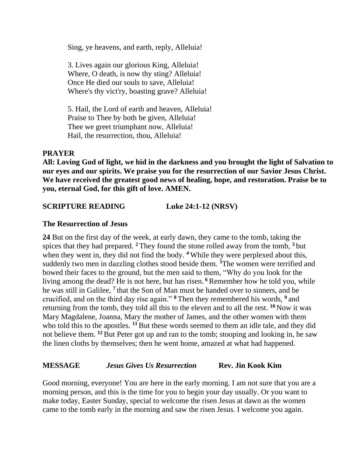Sing, ye heavens, and earth, reply, Alleluia!

3. Lives again our glorious King, Alleluia! Where, O death, is now thy sting? Alleluia! Once He died our souls to save, Alleluia! Where's thy vict'ry, boasting grave? Alleluia!

5. Hail, the Lord of earth and heaven, Alleluia! Praise to Thee by both be given, Alleluia! Thee we greet triumphant now, Alleluia! Hail, the resurrection, thou, Alleluia!

### **PRAYER**

**All: Loving God of light, we hid in the darkness and you brought the light of Salvation to our eyes and our spirits. We praise you for the resurrection of our Savior Jesus Christ. We have received the greatest good news of healing, hope, and restoration. Praise be to you, eternal God, for this gift of love. AMEN.**

## **SCRIPTURE READING Luke 24:1-12 (NRSV)**

### **The Resurrection of Jesus**

**24** But on the first day of the week, at early dawn, they came to the tomb, taking the spices that they had prepared. **<sup>2</sup>** They found the stone rolled away from the tomb, **<sup>3</sup>** but when they went in, they did not find the body. <sup>4</sup> While they were perplexed about this, suddenly two men in dazzling clothes stood beside them. **<sup>5</sup>**The women were terrified and bowed their faces to the ground, but the men said to them, "Why do you look for the living among the dead? He is not here, but has risen. **<sup>6</sup>** Remember how he told you, while he was still in Galilee, **<sup>7</sup>** that the Son of Man must be handed over to sinners, and be crucified, and on the third day rise again." **<sup>8</sup>** Then they remembered his words, **<sup>9</sup>** and returning from the tomb, they told all this to the eleven and to all the rest. **<sup>10</sup>** Now it was Mary Magdalene, Joanna, Mary the mother of James, and the other women with them who told this to the apostles. <sup>11</sup> But these words seemed to them an idle tale, and they did not believe them. **<sup>12</sup>** But Peter got up and ran to the tomb; stooping and looking in, he saw the linen cloths by themselves; then he went home, amazed at what had happened.

## **MESSAGE** *Jesus Gives Us Resurrection* **Rev. Jin Kook Kim**

Good morning, everyone! You are here in the early morning. I am not sure that you are a morning person, and this is the time for you to begin your day usually. Or you want to make today, Easter Sunday, special to welcome the risen Jesus at dawn as the women came to the tomb early in the morning and saw the risen Jesus. I welcome you again.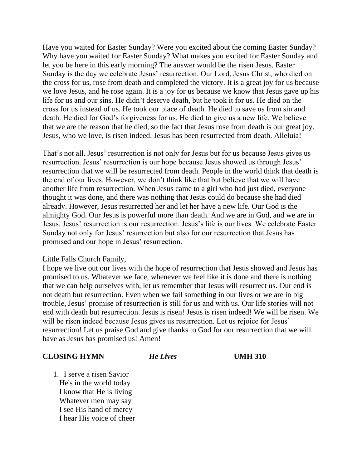Have you waited for Easter Sunday? Were you excited about the coming Easter Sunday? Why have you waited for Easter Sunday? What makes you excited for Easter Sunday and let you be here in this early morning? The answer would be the risen Jesus. Easter Sunday is the day we celebrate Jesus' resurrection. Our Lord, Jesus Christ, who died on the cross for us, rose from death and completed the victory. It is a great joy for us because we love Jesus, and he rose again. It is a joy for us because we know that Jesus gave up his life for us and our sins. He didn't deserve death, but he took it for us. He died on the cross for us instead of us. He took our place of death. He died to save us from sin and death. He died for God's forgiveness for us. He died to give us a new life. We believe that we are the reason that he died, so the fact that Jesus rose from death is our great joy. Jesus, who we love, is risen indeed. Jesus has been resurrected from death. Alleluia!

That's not all. Jesus' resurrection is not only for Jesus but for us because Jesus gives us resurrection. Jesus' resurrection is our hope because Jesus showed us through Jesus' resurrection that we will be resurrected from death. People in the world think that death is the end of our lives. However, we don't think like that but believe that we will have another life from resurrection. When Jesus came to a girl who had just died, everyone thought it was done, and there was nothing that Jesus could do because she had died already. However, Jesus resurrected her and let her have a new life. Our God is the almighty God. Our Jesus is powerful more than death. And we are in God, and we are in Jesus. Jesus' resurrection is our resurrection. Jesus's life is our lives. We celebrate Easter Sunday not only for Jesus' resurrection but also for our resurrection that Jesus has promised and our hope in Jesus' resurrection.

#### Little Falls Church Family,

I hope we live out our lives with the hope of resurrection that Jesus showed and Jesus has promised to us. Whatever we face, whenever we feel like it is done and there is nothing that we can help ourselves with, let us remember that Jesus will resurrect us. Our end is not death but resurrection. Even when we fail something in our lives or we are in big trouble, Jesus' promise of resurrection is still for us and with us. Our life stories will not end with death but resurrection. Jesus is risen! Jesus is risen indeed! We will be risen. We will be risen indeed because Jesus gives us resurrection. Let us rejoice for Jesus' resurrection! Let us praise God and give thanks to God for our resurrection that we will have as Jesus has promised us! Amen!

### **CLOSING HYMN** *He Lives* **UMH 310**

1. I serve a risen Savior He's in the world today I know that He is living Whatever men may say I see His hand of mercy I hear His voice of cheer